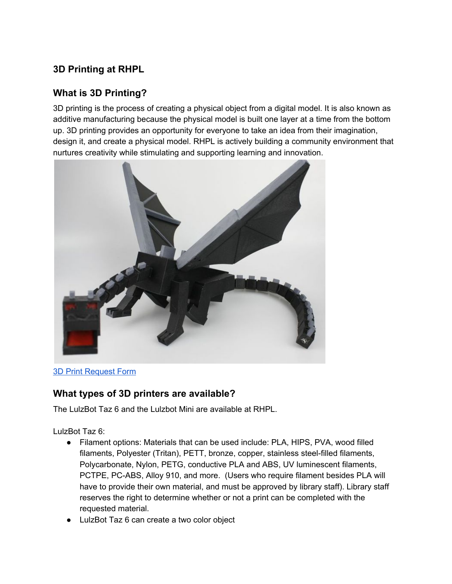## **3D Printing at RHPL**

### **What is 3D Printing?**

3D printing is the process of creating a physical object from a digital model. It is also known as additive manufacturing because the physical model is built one layer at a time from the bottom up. 3D printing provides an opportunity for everyone to take an idea from their imagination, design it, and create a physical model. RHPL is actively building a community environment that nurtures creativity while stimulating and supporting learning and innovation.



#### 3D Print [Request](http://rhpl.org/machform/view.php?id=61771) Form

#### **What types of 3D printers are available?**

The LulzBot Taz 6 and the Lulzbot Mini are available at RHPL.

LulzBot Taz 6:

- Filament options: Materials that can be used include: PLA, HIPS, PVA, wood filled filaments, Polyester (Tritan), PETT, bronze, copper, stainless steel-filled filaments, Polycarbonate, Nylon, PETG, conductive PLA and ABS, UV luminescent filaments, PCTPE, PC-ABS, Alloy 910, and more. (Users who require filament besides PLA will have to provide their own material, and must be approved by library staff). Library staff reserves the right to determine whether or not a print can be completed with the requested material.
- LulzBot Taz 6 can create a two color object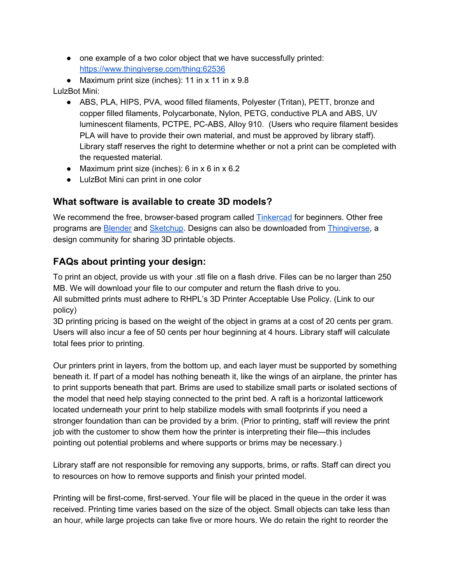- one example of a two color object that we have successfully printed: <https://www.thingiverse.com/thing:62536>
- Maximum print size (inches): 11 in x 11 in x 9.8

#### LulzBot Mini:

- ABS, PLA, HIPS, PVA, wood filled filaments, Polyester (Tritan), PETT, bronze and copper filled filaments, Polycarbonate, Nylon, PETG, conductive PLA and ABS, UV luminescent filaments, PCTPE, PC-ABS, Alloy 910. (Users who require filament besides PLA will have to provide their own material, and must be approved by library staff). Library staff reserves the right to determine whether or not a print can be completed with the requested material.
- Maximum print size (inches): 6 in  $x$  6 in  $x$  6.2
- LulzBot Mini can print in one color

#### **What software is available to create 3D models?**

We recommen[d](https://www.tinkercad.com/) the free, browser-based program called [Tinkercad](https://www.tinkercad.com/) for beginners. Other free programs ar[e](https://www.blender.org/) [Blender](https://www.blender.org/) and [Sketchup](http://www.sketchup.com/). Designs can also be downloaded fro[m](https://www.thingiverse.com/) [Thingiverse,](https://www.thingiverse.com/) a design community for sharing 3D printable objects.

#### **FAQs about printing your design:**

To print an object, provide us with your .stl file on a flash drive. Files can be no larger than 250 MB. We will download your file to our computer and return the flash drive to you. All submitted prints must adhere to RHPL's 3D Printer Acceptable Use Policy. (Link to our policy)

3D printing pricing is based on the weight of the object in grams at a cost of 20 cents per gram. Users will also incur a fee of 50 cents per hour beginning at 4 hours. Library staff will calculate total fees prior to printing.

Our printers print in layers, from the bottom up, and each layer must be supported by something beneath it. If part of a model has nothing beneath it, like the wings of an airplane, the printer has to print supports beneath that part. Brims are used to stabilize small parts or isolated sections of the model that need help staying connected to the print bed. A raft is a horizontal latticework located underneath your print to help stabilize models with small footprints if you need a stronger foundation than can be provided by a brim. (Prior to printing, staff will review the print job with the customer to show them how the printer is interpreting their file—this includes pointing out potential problems and where supports or brims may be necessary.)

Library staff are not responsible for removing any supports, brims, or rafts. Staff can direct you to resources on how to remove supports and finish your printed model.

Printing will be first-come, first-served. Your file will be placed in the queue in the order it was received. Printing time varies based on the size of the object. Small objects can take less than an hour, while large projects can take five or more hours. We do retain the right to reorder the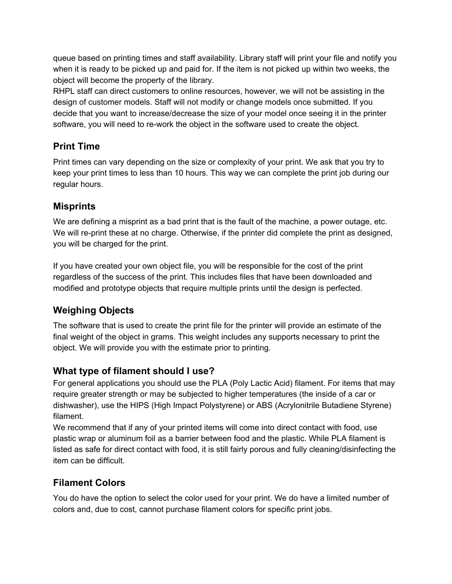queue based on printing times and staff availability. Library staff will print your file and notify you when it is ready to be picked up and paid for. If the item is not picked up within two weeks, the object will become the property of the library.

RHPL staff can direct customers to online resources, however, we will not be assisting in the design of customer models. Staff will not modify or change models once submitted. If you decide that you want to increase/decrease the size of your model once seeing it in the printer software, you will need to re-work the object in the software used to create the object.

## **Print Time**

Print times can vary depending on the size or complexity of your print. We ask that you try to keep your print times to less than 10 hours. This way we can complete the print job during our regular hours.

## **Misprints**

We are defining a misprint as a bad print that is the fault of the machine, a power outage, etc. We will re-print these at no charge. Otherwise, if the printer did complete the print as designed, you will be charged for the print.

If you have created your own object file, you will be responsible for the cost of the print regardless of the success of the print. This includes files that have been downloaded and modified and prototype objects that require multiple prints until the design is perfected.

# **Weighing Objects**

The software that is used to create the print file for the printer will provide an estimate of the final weight of the object in grams. This weight includes any supports necessary to print the object. We will provide you with the estimate prior to printing.

# **What type of filament should I use?**

For general applications you should use the PLA (Poly Lactic Acid) filament. For items that may require greater strength or may be subjected to higher temperatures (the inside of a car or dishwasher), use the HIPS (High Impact Polystyrene) or ABS (Acrylonitrile Butadiene Styrene) filament.

We recommend that if any of your printed items will come into direct contact with food, use plastic wrap or aluminum foil as a barrier between food and the plastic. While PLA filament is listed as safe for direct contact with food, it is still fairly porous and fully cleaning/disinfecting the item can be difficult.

# **Filament Colors**

You do have the option to select the color used for your print. We do have a limited number of colors and, due to cost, cannot purchase filament colors for specific print jobs.